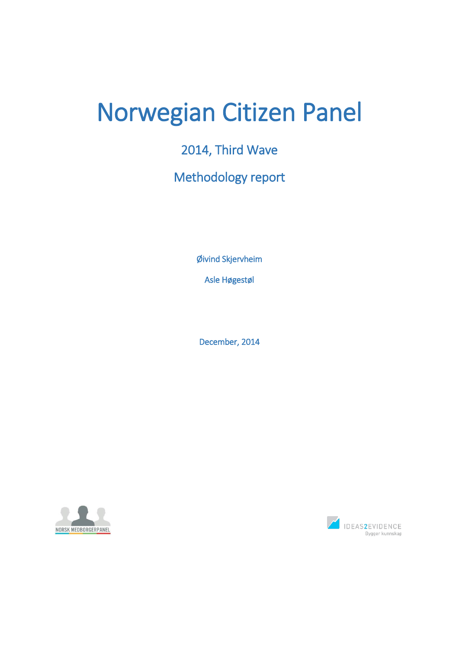# Norwegian Citizen Panel

# 2014, Third Wave

# Methodology report

Øivind Skjervheim

Asle Høgestøl

December, 2014



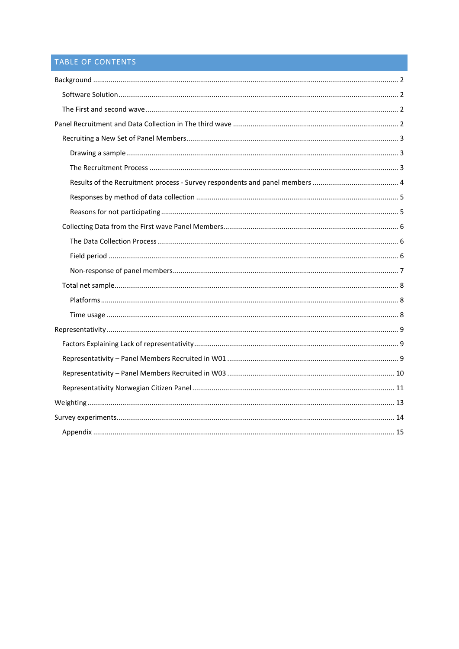# TABLE OF CONTENTS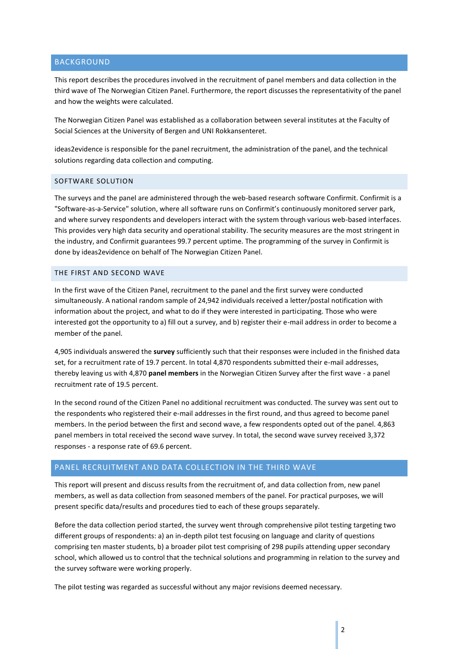# <span id="page-2-0"></span>BACKGROUND

This report describes the procedures involved in the recruitment of panel members and data collection in the third wave of The Norwegian Citizen Panel. Furthermore, the report discusses the representativity of the panel and how the weights were calculated.

The Norwegian Citizen Panel was established as a collaboration between several institutes at the Faculty of Social Sciences at the University of Bergen and UNI Rokkansenteret.

ideas2evidence is responsible for the panel recruitment, the administration of the panel, and the technical solutions regarding data collection and computing.

# <span id="page-2-1"></span>SOFTWARE SOLUTION

The surveys and the panel are administered through the web-based research software Confirmit. Confirmit is a "Software-as-a-Service" solution, where all software runs on Confirmit's continuously monitored server park, and where survey respondents and developers interact with the system through various web-based interfaces. This provides very high data security and operational stability. The security measures are the most stringent in the industry, and Confirmit guarantees 99.7 percent uptime. The programming of the survey in Confirmit is done by ideas2evidence on behalf of The Norwegian Citizen Panel.

## <span id="page-2-2"></span>THE FIRST AND SECOND WAVE

In the first wave of the Citizen Panel, recruitment to the panel and the first survey were conducted simultaneously. A national random sample of 24,942 individuals received a letter/postal notification with information about the project, and what to do if they were interested in participating. Those who were interested got the opportunity to a) fill out a survey, and b) register their e-mail address in order to become a member of the panel.

4,905 individuals answered the **survey** sufficiently such that their responses were included in the finished data set, for a recruitment rate of 19.7 percent. In total 4,870 respondents submitted their e-mail addresses, thereby leaving us with 4,870 **panel members** in the Norwegian Citizen Survey after the first wave - a panel recruitment rate of 19.5 percent.

In the second round of the Citizen Panel no additional recruitment was conducted. The survey was sent out to the respondents who registered their e-mail addresses in the first round, and thus agreed to become panel members. In the period between the first and second wave, a few respondents opted out of the panel. 4,863 panel members in total received the second wave survey. In total, the second wave survey received 3,372 responses - a response rate of 69.6 percent.

# <span id="page-2-3"></span>PANEL RECRUITMENT AND DATA COLLECTION IN THE THIRD WAVE

This report will present and discuss results from the recruitment of, and data collection from, new panel members, as well as data collection from seasoned members of the panel. For practical purposes, we will present specific data/results and procedures tied to each of these groups separately.

Before the data collection period started, the survey went through comprehensive pilot testing targeting two different groups of respondents: a) an in-depth pilot test focusing on language and clarity of questions comprising ten master students, b) a broader pilot test comprising of 298 pupils attending upper secondary school, which allowed us to control that the technical solutions and programming in relation to the survey and the survey software were working properly.

The pilot testing was regarded as successful without any major revisions deemed necessary.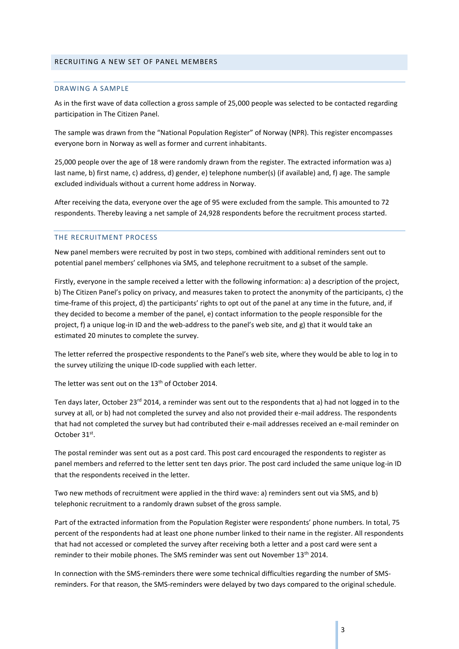#### <span id="page-3-1"></span><span id="page-3-0"></span>DRAWING A SAMPLE

As in the first wave of data collection a gross sample of 25,000 people was selected to be contacted regarding participation in The Citizen Panel.

The sample was drawn from the "National Population Register" of Norway (NPR). This register encompasses everyone born in Norway as well as former and current inhabitants.

25,000 people over the age of 18 were randomly drawn from the register. The extracted information was a) last name, b) first name, c) address, d) gender, e) telephone number(s) (if available) and, f) age. The sample excluded individuals without a current home address in Norway.

After receiving the data, everyone over the age of 95 were excluded from the sample. This amounted to 72 respondents. Thereby leaving a net sample of 24,928 respondents before the recruitment process started.

#### <span id="page-3-2"></span>THE RECRUITMENT PROCESS

New panel members were recruited by post in two steps, combined with additional reminders sent out to potential panel members' cellphones via SMS, and telephone recruitment to a subset of the sample.

Firstly, everyone in the sample received a letter with the following information: a) a description of the project, b) The Citizen Panel's policy on privacy, and measures taken to protect the anonymity of the participants, c) the time-frame of this project, d) the participants' rights to opt out of the panel at any time in the future, and, if they decided to become a member of the panel, e) contact information to the people responsible for the project, f) a unique log-in ID and the web-address to the panel's web site, and g) that it would take an estimated 20 minutes to complete the survey.

The letter referred the prospective respondents to the Panel's web site, where they would be able to log in to the survey utilizing the unique ID-code supplied with each letter.

The letter was sent out on the 13<sup>th</sup> of October 2014.

Ten days later, October 23<sup>rd</sup> 2014, a reminder was sent out to the respondents that a) had not logged in to the survey at all, or b) had not completed the survey and also not provided their e-mail address. The respondents that had not completed the survey but had contributed their e-mail addresses received an e-mail reminder on October 31<sup>st</sup>.

The postal reminder was sent out as a post card. This post card encouraged the respondents to register as panel members and referred to the letter sent ten days prior. The post card included the same unique log-in ID that the respondents received in the letter.

Two new methods of recruitment were applied in the third wave: a) reminders sent out via SMS, and b) telephonic recruitment to a randomly drawn subset of the gross sample.

Part of the extracted information from the Population Register were respondents' phone numbers. In total, 75 percent of the respondents had at least one phone number linked to their name in the register. All respondents that had not accessed or completed the survey after receiving both a letter and a post card were sent a reminder to their mobile phones. The SMS reminder was sent out November 13<sup>th</sup> 2014.

In connection with the SMS-reminders there were some technical difficulties regarding the number of SMSreminders. For that reason, the SMS-reminders were delayed by two days compared to the original schedule.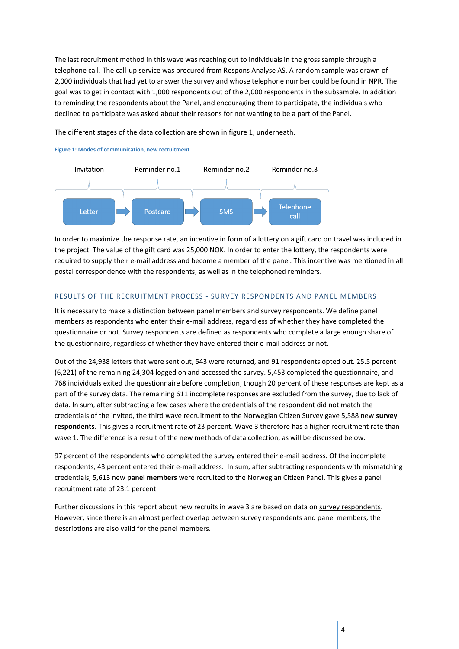The last recruitment method in this wave was reaching out to individuals in the gross sample through a telephone call. The call-up service was procured from Respons Analyse AS. A random sample was drawn of 2,000 individuals that had yet to answer the survey and whose telephone number could be found in NPR. The goal was to get in contact with 1,000 respondents out of the 2,000 respondents in the subsample. In addition to reminding the respondents about the Panel, and encouraging them to participate, the individuals who declined to participate was asked about their reasons for not wanting to be a part of the Panel.

The different stages of the data collection are shown in figure 1, underneath.

#### **Figure 1: Modes of communication, new recruitment**



In order to maximize the response rate, an incentive in form of a lottery on a gift card on travel was included in the project. The value of the gift card was 25,000 NOK. In order to enter the lottery, the respondents were required to supply their e-mail address and become a member of the panel. This incentive was mentioned in all postal correspondence with the respondents, as well as in the telephoned reminders.

## <span id="page-4-0"></span>RESULTS OF THE RECRUITMENT PROCESS - SURVEY RESPONDENTS AND PANEL MEMBERS

It is necessary to make a distinction between panel members and survey respondents. We define panel members as respondents who enter their e-mail address, regardless of whether they have completed the questionnaire or not. Survey respondents are defined as respondents who complete a large enough share of the questionnaire, regardless of whether they have entered their e-mail address or not.

Out of the 24,938 letters that were sent out, 543 were returned, and 91 respondents opted out. 25.5 percent (6,221) of the remaining 24,304 logged on and accessed the survey. 5,453 completed the questionnaire, and 768 individuals exited the questionnaire before completion, though 20 percent of these responses are kept as a part of the survey data. The remaining 611 incomplete responses are excluded from the survey, due to lack of data. In sum, after subtracting a few cases where the credentials of the respondent did not match the credentials of the invited, the third wave recruitment to the Norwegian Citizen Survey gave 5,588 new **survey respondents**. This gives a recruitment rate of 23 percent. Wave 3 therefore has a higher recruitment rate than wave 1. The difference is a result of the new methods of data collection, as will be discussed below.

97 percent of the respondents who completed the survey entered their e-mail address. Of the incomplete respondents, 43 percent entered their e-mail address. In sum, after subtracting respondents with mismatching credentials, 5,613 new **panel members** were recruited to the Norwegian Citizen Panel. This gives a panel recruitment rate of 23.1 percent.

Further discussions in this report about new recruits in wave 3 are based on data on survey respondents. However, since there is an almost perfect overlap between survey respondents and panel members, the descriptions are also valid for the panel members.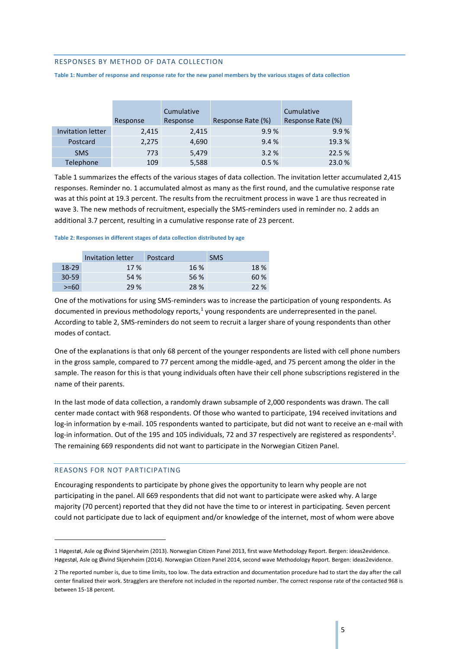#### <span id="page-5-0"></span>RESPONSES BY METHOD OF DATA COLLECTION

**Table 1: Number of response and response rate for the new panel members by the various stages of data collection**

|                   |          | Cumulative |                   | Cumulative        |
|-------------------|----------|------------|-------------------|-------------------|
|                   | Response | Response   | Response Rate (%) | Response Rate (%) |
| Invitation letter | 2,415    | 2,415      | 9.9%              | 9.9%              |
| Postcard          | 2,275    | 4,690      | 9.4%              | 19.3 %            |
| <b>SMS</b>        | 773      | 5,479      | 3.2%              | 22.5 %            |
| Telephone         | 109      | 5,588      | 0.5%              | 23.0%             |

Table 1 summarizes the effects of the various stages of data collection. The invitation letter accumulated 2,415 responses. Reminder no. 1 accumulated almost as many as the first round, and the cumulative response rate was at this point at 19.3 percent. The results from the recruitment process in wave 1 are thus recreated in wave 3. The new methods of recruitment, especially the SMS-reminders used in reminder no. 2 adds an additional 3.7 percent, resulting in a cumulative response rate of 23 percent.

#### **Table 2: Responses in different stages of data collection distributed by age**

|           | Invitation letter | Postcard | <b>SMS</b> |
|-----------|-------------------|----------|------------|
| $18-29$   | 17%               | 16 %     | 18%        |
| $30 - 59$ | 54 %              | 56 %     | 60 %       |
| $>= 60$   | 29 %              | 28 %     | 22%        |

One of the motivations for using SMS-reminders was to increase the participation of young respondents. As documented in previous methodology reports,<sup>1</sup> young respondents are underrepresented in the panel. According to table 2, SMS-reminders do not seem to recruit a larger share of young respondents than other modes of contact.

One of the explanations is that only 68 percent of the younger respondents are listed with cell phone numbers in the gross sample, compared to 77 percent among the middle-aged, and 75 percent among the older in the sample. The reason for this is that young individuals often have their cell phone subscriptions registered in the name of their parents.

In the last mode of data collection, a randomly drawn subsample of 2,000 respondents was drawn. The call center made contact with 968 respondents. Of those who wanted to participate, 194 received invitations and log-in information by e-mail. 105 respondents wanted to participate, but did not want to receive an e-mail with log-in information. Out of the 195 and 105 individuals, 72 and 37 respectively are registered as respondents<sup>2</sup>. The remaining 669 respondents did not want to participate in the Norwegian Citizen Panel.

## <span id="page-5-1"></span>REASONS FOR NOT PARTICIPATING

1

Encouraging respondents to participate by phone gives the opportunity to learn why people are not participating in the panel. All 669 respondents that did not want to participate were asked why. A large majority (70 percent) reported that they did not have the time to or interest in participating. Seven percent could not participate due to lack of equipment and/or knowledge of the internet, most of whom were above

<sup>1</sup> Høgestøl, Asle og Øivind Skjervheim (2013). Norwegian Citizen Panel 2013, first wave Methodology Report. Bergen: ideas2evidence. Høgestøl, Asle og Øivind Skjervheim (2014). Norwegian Citizen Panel 2014, second wave Methodology Report. Bergen: ideas2evidence.

<sup>2</sup> The reported number is, due to time limits, too low. The data extraction and documentation procedure had to start the day after the call center finalized their work. Stragglers are therefore not included in the reported number. The correct response rate of the contacted 968 is between 15-18 percent.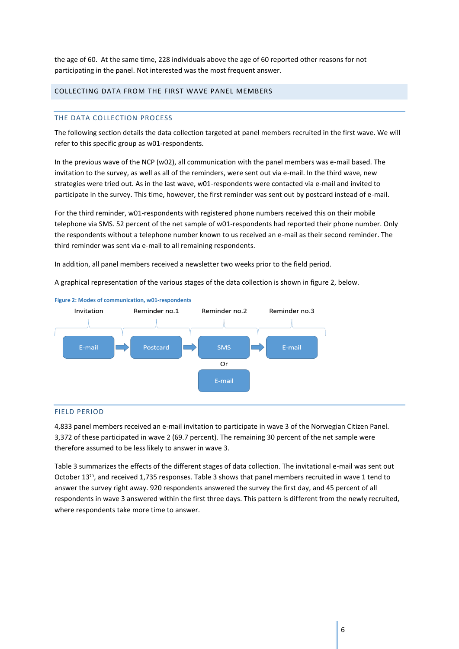the age of 60. At the same time, 228 individuals above the age of 60 reported other reasons for not participating in the panel. Not interested was the most frequent answer.

# <span id="page-6-1"></span><span id="page-6-0"></span>COLLECTING DATA FROM THE FIRST WAVE PANEL MEMBERS

#### THE DATA COLLECTION PROCESS

The following section details the data collection targeted at panel members recruited in the first wave. We will refer to this specific group as w01-respondents.

In the previous wave of the NCP (w02), all communication with the panel members was e-mail based. The invitation to the survey, as well as all of the reminders, were sent out via e-mail. In the third wave, new strategies were tried out. As in the last wave, w01-respondents were contacted via e-mail and invited to participate in the survey. This time, however, the first reminder was sent out by postcard instead of e-mail.

For the third reminder, w01-respondents with registered phone numbers received this on their mobile telephone via SMS. 52 percent of the net sample of w01-respondents had reported their phone number. Only the respondents without a telephone number known to us received an e-mail as their second reminder. The third reminder was sent via e-mail to all remaining respondents.

In addition, all panel members received a newsletter two weeks prior to the field period.

A graphical representation of the various stages of the data collection is shown in figure 2, below.



#### <span id="page-6-2"></span>FIELD PERIOD

4,833 panel members received an e-mail invitation to participate in wave 3 of the Norwegian Citizen Panel. 3,372 of these participated in wave 2 (69.7 percent). The remaining 30 percent of the net sample were therefore assumed to be less likely to answer in wave 3.

Table 3 summarizes the effects of the different stages of data collection. The invitational e-mail was sent out October 13<sup>th</sup>, and received 1,735 responses. Table 3 shows that panel members recruited in wave 1 tend to answer the survey right away. 920 respondents answered the survey the first day, and 45 percent of all respondents in wave 3 answered within the first three days. This pattern is different from the newly recruited, where respondents take more time to answer.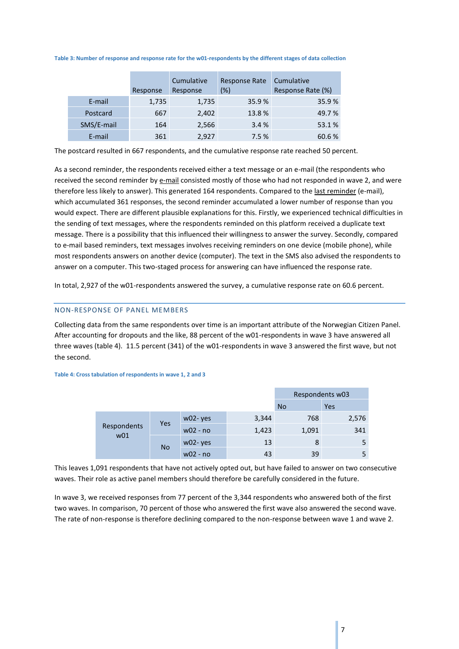#### **Table 3: Number of response and response rate for the w01-respondents by the different stages of data collection**

|            | Response | Cumulative<br>Response | <b>Response Rate</b><br>(%) | Cumulative<br>Response Rate (%) |
|------------|----------|------------------------|-----------------------------|---------------------------------|
| E-mail     | 1,735    | 1,735                  | 35.9%                       | 35.9%                           |
| Postcard   | 667      | 2,402                  | 13.8%                       | 49.7%                           |
| SMS/E-mail | 164      | 2,566                  | 3.4%                        | 53.1%                           |
| E-mail     | 361      | 2,927                  | 7.5%                        | 60.6 %                          |

The postcard resulted in 667 respondents, and the cumulative response rate reached 50 percent.

As a second reminder, the respondents received either a text message or an e-mail (the respondents who received the second reminder by e-mail consisted mostly of those who had not responded in wave 2, and were therefore less likely to answer). This generated 164 respondents. Compared to the last reminder (e-mail), which accumulated 361 responses, the second reminder accumulated a lower number of response than you would expect. There are different plausible explanations for this. Firstly, we experienced technical difficulties in the sending of text messages, where the respondents reminded on this platform received a duplicate text message. There is a possibility that this influenced their willingness to answer the survey. Secondly, compared to e-mail based reminders, text messages involves receiving reminders on one device (mobile phone), while most respondents answers on another device (computer). The text in the SMS also advised the respondents to answer on a computer. This two-staged process for answering can have influenced the response rate.

In total, 2,927 of the w01-respondents answered the survey, a cumulative response rate on 60.6 percent.

## <span id="page-7-0"></span>NON-RESPONSE OF PANEL MEMBERS

Collecting data from the same respondents over time is an important attribute of the Norwegian Citizen Panel. After accounting for dropouts and the like, 88 percent of the w01-respondents in wave 3 have answered all three waves (table 4). 11.5 percent (341) of the w01-respondents in wave 3 answered the first wave, but not the second.

#### Respondents w03 No Yes Respondents w01 Yes w02-yes 3,344 768 2,576 w02 - no  $1,423$   $1,091$  341 No w02-yes 13 8 5 w02 - no 43 43 39 5

**Table 4: Cross tabulation of respondents in wave 1, 2 and 3**

This leaves 1,091 respondents that have not actively opted out, but have failed to answer on two consecutive waves. Their role as active panel members should therefore be carefully considered in the future.

In wave 3, we received responses from 77 percent of the 3,344 respondents who answered both of the first two waves. In comparison, 70 percent of those who answered the first wave also answered the second wave. The rate of non-response is therefore declining compared to the non-response between wave 1 and wave 2.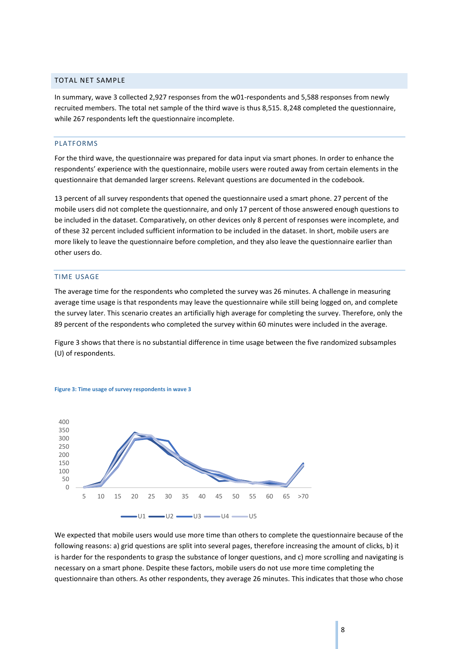## <span id="page-8-0"></span>TOTAL NET SAMPLE

In summary, wave 3 collected 2,927 responses from the w01-respondents and 5,588 responses from newly recruited members. The total net sample of the third wave is thus 8,515. 8,248 completed the questionnaire, while 267 respondents left the questionnaire incomplete.

#### <span id="page-8-1"></span>PLATFORMS

For the third wave, the questionnaire was prepared for data input via smart phones. In order to enhance the respondents' experience with the questionnaire, mobile users were routed away from certain elements in the questionnaire that demanded larger screens. Relevant questions are documented in the codebook.

13 percent of all survey respondents that opened the questionnaire used a smart phone. 27 percent of the mobile users did not complete the questionnaire, and only 17 percent of those answered enough questions to be included in the dataset. Comparatively, on other devices only 8 percent of responses were incomplete, and of these 32 percent included sufficient information to be included in the dataset. In short, mobile users are more likely to leave the questionnaire before completion, and they also leave the questionnaire earlier than other users do.

#### <span id="page-8-2"></span>TIME USAGE

The average time for the respondents who completed the survey was 26 minutes. A challenge in measuring average time usage is that respondents may leave the questionnaire while still being logged on, and complete the survey later. This scenario creates an artificially high average for completing the survey. Therefore, only the 89 percent of the respondents who completed the survey within 60 minutes were included in the average.

Figure 3 shows that there is no substantial difference in time usage between the five randomized subsamples (U) of respondents.





We expected that mobile users would use more time than others to complete the questionnaire because of the following reasons: a) grid questions are split into several pages, therefore increasing the amount of clicks, b) it is harder for the respondents to grasp the substance of longer questions, and c) more scrolling and navigating is necessary on a smart phone. Despite these factors, mobile users do not use more time completing the questionnaire than others. As other respondents, they average 26 minutes. This indicates that those who chose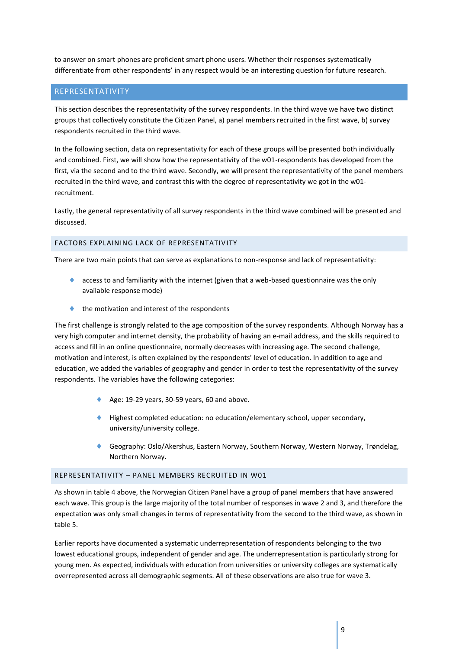to answer on smart phones are proficient smart phone users. Whether their responses systematically differentiate from other respondents' in any respect would be an interesting question for future research.

# <span id="page-9-0"></span>REPRESENTATIVITY

This section describes the representativity of the survey respondents. In the third wave we have two distinct groups that collectively constitute the Citizen Panel, a) panel members recruited in the first wave, b) survey respondents recruited in the third wave.

In the following section, data on representativity for each of these groups will be presented both individually and combined. First, we will show how the representativity of the w01-respondents has developed from the first, via the second and to the third wave. Secondly, we will present the representativity of the panel members recruited in the third wave, and contrast this with the degree of representativity we got in the w01 recruitment.

Lastly, the general representativity of all survey respondents in the third wave combined will be presented and discussed.

# <span id="page-9-1"></span>FACTORS EXPLAINING LACK OF REPRESENTATIVITY

There are two main points that can serve as explanations to non-response and lack of representativity:

- access to and familiarity with the internet (given that a web-based questionnaire was the only available response mode)
- the motivation and interest of the respondents

The first challenge is strongly related to the age composition of the survey respondents. Although Norway has a very high computer and internet density, the probability of having an e-mail address, and the skills required to access and fill in an online questionnaire, normally decreases with increasing age. The second challenge, motivation and interest, is often explained by the respondents' level of education. In addition to age and education, we added the variables of geography and gender in order to test the representativity of the survey respondents. The variables have the following categories:

- Age: 19-29 years, 30-59 years, 60 and above.
- Highest completed education: no education/elementary school, upper secondary, university/university college.
- Geography: Oslo/Akershus, Eastern Norway, Southern Norway, Western Norway, Trøndelag, Northern Norway.

# <span id="page-9-2"></span>REPRESENTATIVITY – PANEL MEMBERS RECRUITED IN W01

As shown in table 4 above, the Norwegian Citizen Panel have a group of panel members that have answered each wave. This group is the large majority of the total number of responses in wave 2 and 3, and therefore the expectation was only small changes in terms of representativity from the second to the third wave, as shown in table 5.

Earlier reports have documented a systematic underrepresentation of respondents belonging to the two lowest educational groups, independent of gender and age. The underrepresentation is particularly strong for young men. As expected, individuals with education from universities or university colleges are systematically overrepresented across all demographic segments. All of these observations are also true for wave 3.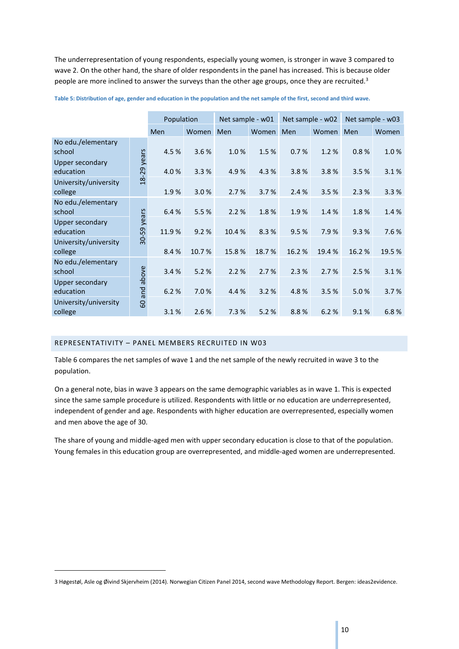The underrepresentation of young respondents, especially young women, is stronger in wave 3 compared to wave 2. On the other hand, the share of older respondents in the panel has increased. This is because older people are more inclined to answer the surveys than the other age groups, once they are recruited.<sup>3</sup>

|                                     |                    | Population |       | Net sample - w01 |       |       | Net sample - w02 | Net sample - w03 |       |
|-------------------------------------|--------------------|------------|-------|------------------|-------|-------|------------------|------------------|-------|
|                                     |                    | Men        | Women | Men              | Women | Men   | Women            | Men              | Women |
| No edu./elementary<br>school        |                    | 4.5%       | 3.6%  | 1.0%             | 1.5%  | 0.7%  | 1.2%             | 0.8%             | 1.0%  |
| Upper secondary<br>education        | years<br>18-29     | 4.0%       | 3.3%  | 4.9%             | 4.3 % | 3.8%  | 3.8%             | 3.5 %            | 3.1%  |
| University/university<br>college    |                    | 1.9%       | 3.0%  | 2.7%             | 3.7%  | 2.4%  | 3.5%             | 2.3%             | 3.3%  |
| No edu./elementary<br>school        |                    | 6.4%       | 5.5%  | 2.2%             | 1.8%  | 1.9%  | 1.4%             | 1.8%             | 1.4%  |
| <b>Upper secondary</b><br>education | years<br>$30 - 59$ | 11.9%      | 9.2%  | 10.4%            | 8.3%  | 9.5%  | 7.9%             | 9.3%             | 7.6%  |
| University/university<br>college    |                    | 8.4%       | 10.7% | 15.8%            | 18.7% | 16.2% | 19.4%            | 16.2%            | 19.5% |
| No edu./elementary<br>school        | above              | 3.4%       | 5.2%  | 2.2%             | 2.7%  | 2.3%  | 2.7%             | 2.5 %            | 3.1%  |
| <b>Upper secondary</b><br>education | pue                | 6.2%       | 7.0%  | 4.4 %            | 3.2%  | 4.8%  | 3.5%             | 5.0%             | 3.7%  |
| University/university<br>college    | 60                 | 3.1%       | 2.6%  | 7.3%             | 5.2%  | 8.8%  | 6.2%             | 9.1%             | 6.8%  |

**Table 5: Distribution of age, gender and education in the population and the net sample of the first, second and third wave.**

## <span id="page-10-0"></span>REPRESENTATIVITY – PANEL MEMBERS RECRUITED IN W03

1

Table 6 compares the net samples of wave 1 and the net sample of the newly recruited in wave 3 to the population.

On a general note, bias in wave 3 appears on the same demographic variables as in wave 1. This is expected since the same sample procedure is utilized. Respondents with little or no education are underrepresented, independent of gender and age. Respondents with higher education are overrepresented, especially women and men above the age of 30.

The share of young and middle-aged men with upper secondary education is close to that of the population. Young females in this education group are overrepresented, and middle-aged women are underrepresented.

<sup>3</sup> Høgestøl, Asle og Øivind Skjervheim (2014). Norwegian Citizen Panel 2014, second wave Methodology Report. Bergen: ideas2evidence.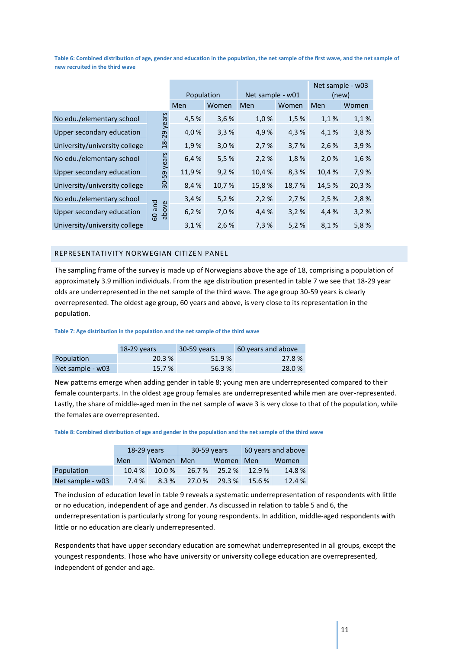**Table 6: Combined distribution of age, gender and education in the population, the net sample of the first wave, and the net sample of new recruited in the third wave**

|                               |                 |       | Population |       | Net sample - w01 |       | Net sample - w03<br>(new) |
|-------------------------------|-----------------|-------|------------|-------|------------------|-------|---------------------------|
|                               |                 | Men   | Women      | Men   | Women            | Men   | Women                     |
| No edu./elementary school     |                 | 4,5%  | 3,6%       | 1,0%  | 1,5%             | 1,1%  | 1,1%                      |
| Upper secondary education     | $18-29$ years   | 4,0%  | 3,3%       | 4,9%  | 4,3%             | 4,1%  | 3,8%                      |
| University/university college |                 | 1,9%  | 3,0%       | 2,7%  | 3,7%             | 2,6%  | 3,9%                      |
| No edu./elementary school     |                 | 6,4 % | 5,5%       | 2,2%  | 1,8%             | 2,0%  | 1,6%                      |
| Upper secondary education     | 30-59 years     | 11,9% | 9,2%       | 10,4% | 8,3%             | 10,4% | 7,9%                      |
| University/university college |                 | 8,4%  | 10,7%      | 15,8% | 18,7%            | 14,5% | 20,3%                     |
| No edu./elementary school     |                 | 3,4%  | 5,2%       | 2,2%  | 2,7%             | 2,5%  | 2,8%                      |
| Upper secondary education     | 60 and<br>above | 6,2%  | 7,0 %      | 4,4 % | 3,2%             | 4,4 % | 3,2%                      |
| University/university college |                 | 3,1%  | 2,6%       | 7,3%  | 5,2%             | 8,1%  | 5,8%                      |

#### <span id="page-11-0"></span>REPRESENTATIVITY NORWEGIAN CITIZEN PANEL

The sampling frame of the survey is made up of Norwegians above the age of 18, comprising a population of approximately 3.9 million individuals. From the age distribution presented in table 7 we see that 18-29 year olds are underrepresented in the net sample of the third wave. The age group 30-59 years is clearly overrepresented. The oldest age group, 60 years and above, is very close to its representation in the population.

#### **Table 7: Age distribution in the population and the net sample of the third wave**

|                  | $18-29$ years | 30-59 years | 60 years and above |
|------------------|---------------|-------------|--------------------|
| Population       | 20.3 %        | 51.9%       | 27.8%              |
| Net sample - w03 | 15.7 %        | 56.3%       | 28.0%              |

New patterns emerge when adding gender in table 8; young men are underrepresented compared to their female counterparts. In the oldest age group females are underrepresented while men are over-represented. Lastly, the share of middle-aged men in the net sample of wave 3 is very close to that of the population, while the females are overrepresented.

#### **Table 8: Combined distribution of age and gender in the population and the net sample of the third wave**

|                  | $18-29$ years |          | 30-59 years |          | 60 years and above |       |  |
|------------------|---------------|----------|-------------|----------|--------------------|-------|--|
|                  | Men           | Women    | Men         | Women    | Men                | Women |  |
| Population       | 10.4 %        | $10.0\%$ | 26.7 %      | $25.2\%$ | 12.9%              | 14.8% |  |
| Net sample - w03 | 7.4 %         | 8.3%     | 27.0 %      | 29.3%    | 15.6 %             | 12.4% |  |

The inclusion of education level in table 9 reveals a systematic underrepresentation of respondents with little or no education, independent of age and gender. As discussed in relation to table 5 and 6, the underrepresentation is particularly strong for young respondents. In addition, middle-aged respondents with little or no education are clearly underrepresented.

Respondents that have upper secondary education are somewhat underrepresented in all groups, except the youngest respondents. Those who have university or university college education are overrepresented, independent of gender and age.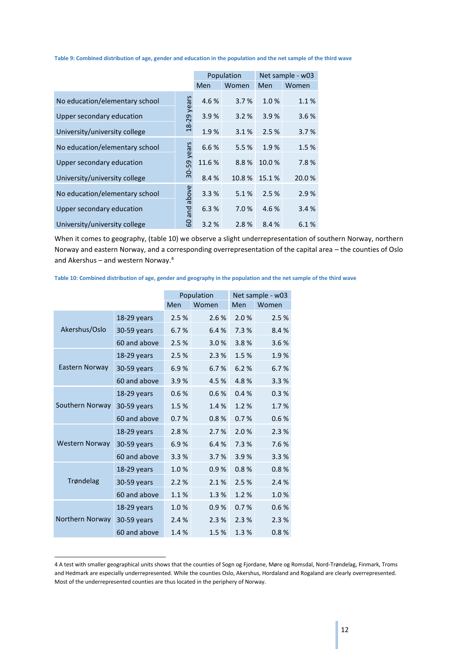**Table 9: Combined distribution of age, gender and education in the population and the net sample of the third wave**

|                                |                |       | Population | Net sample - w03 |        |  |
|--------------------------------|----------------|-------|------------|------------------|--------|--|
|                                |                | Men   | Women      | <b>Men</b>       | Women  |  |
| No education/elementary school | years          | 4.6%  | 3.7%       | 1.0%             | 1.1%   |  |
| Upper secondary education      | $-29$          | 3.9%  | 3.2%       | 3.9%             | 3.6%   |  |
| University/university college  | $\frac{8}{18}$ | 1.9%  | 3.1%       | 2.5%             | 3.7%   |  |
| No education/elementary school | vears          | 6.6%  | 5.5 %      | 1.9%             | 1.5%   |  |
| Upper secondary education      |                | 11.6% | 8.8%       | 10.0%            | 7.8%   |  |
| University/university college  | 30-59          | 8.4%  | 10.8%      | 15.1%            | 20.0 % |  |
| No education/elementary school | above          | 3.3%  | 5.1%       | 2.5 %            | 2.9%   |  |
| Upper secondary education      | and            | 6.3%  | 7.0%       | 4.6%             | 3.4 %  |  |
| University/university college  | 8              | 3.2%  | 2.8%       | 8.4%             | 6.1%   |  |

When it comes to geography, (table 10) we observe a slight underrepresentation of southern Norway, northern Norway and eastern Norway, and a corresponding overrepresentation of the capital area – the counties of Oslo and Akershus – and western Norway.<sup>4</sup>

**Table 10: Combined distribution of age, gender and geography in the population and the net sample of the third wave**

|                       |              |      | Population | Net sample - w03 |       |  |
|-----------------------|--------------|------|------------|------------------|-------|--|
|                       |              | Men  | Women      | Men              | Women |  |
|                       | 18-29 years  | 2.5% | 2.6%       | 2.0%             | 2.5%  |  |
| Akershus/Oslo         | 30-59 years  | 6.7% | 6.4%       | 7.3 %            | 8.4%  |  |
|                       | 60 and above | 2.5% | 3.0%       | 3.8%             | 3.6%  |  |
|                       | 18-29 years  | 2.5% | 2.3%       | 1.5%             | 1.9%  |  |
| Eastern Norway        | 30-59 years  | 6.9% | 6.7%       | 6.2%             | 6.7%  |  |
|                       | 60 and above | 3.9% | 4.5%       | 4.8%             | 3.3%  |  |
|                       | 18-29 years  | 0.6% | 0.6%       | 0.4%             | 0.3%  |  |
| Southern Norway       | 30-59 years  | 1.5% | 1.4%       | 1.2%             | 1.7%  |  |
|                       | 60 and above | 0.7% | 0.8%       | 0.7%             | 0.6%  |  |
|                       | 18-29 years  | 2.8% | 2.7%       | 2.0%             | 2.3%  |  |
| <b>Western Norway</b> | 30-59 years  | 6.9% | 6.4%       | 7.3%             | 7.6%  |  |
|                       | 60 and above | 3.3% | 3.7%       | 3.9%             | 3.3%  |  |
|                       | 18-29 years  | 1.0% | 0.9%       | 0.8%             | 0.8%  |  |
| Trøndelag             | 30-59 years  | 2.2% | 2.1%       | 2.5%             | 2.4%  |  |
|                       | 60 and above | 1.1% | 1.3%       | 1.2%             | 1.0%  |  |
|                       | 18-29 years  | 1.0% | 0.9%       | 0.7%             | 0.6%  |  |
| Northern Norway       | 30-59 years  | 2.4% | 2.3%       | 2.3%             | 2.3%  |  |
|                       | 60 and above | 1.4% | 1.5%       | 1.3%             | 0.8%  |  |

**.** 

<sup>4</sup> A test with smaller geographical units shows that the counties of Sogn og Fjordane, Møre og Romsdal, Nord-Trøndelag, Finmark, Troms and Hedmark are especially underrepresented. While the counties Oslo, Akershus, Hordaland and Rogaland are clearly overrepresented. Most of the underrepresented counties are thus located in the periphery of Norway.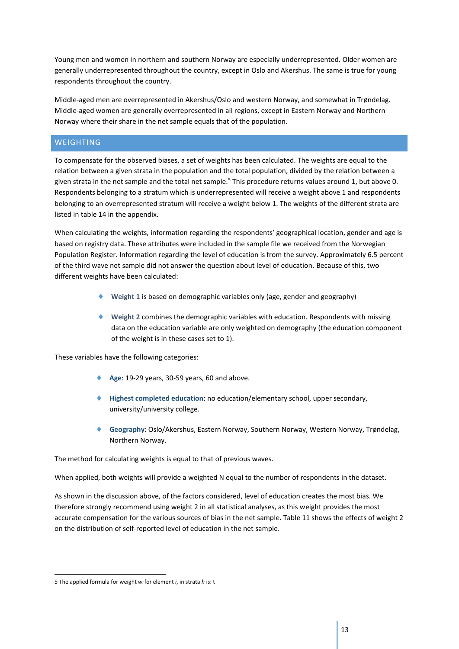Young men and women in northern and southern Norway are especially underrepresented. Older women are generally underrepresented throughout the country, except in Oslo and Akershus. The same is true for young respondents throughout the country.

Middle-aged men are overrepresented in Akershus/Oslo and western Norway, and somewhat in Trøndelag. Middle-aged women are generally overrepresented in all regions, except in Eastern Norway and Northern Norway where their share in the net sample equals that of the population.

# <span id="page-13-0"></span>**WEIGHTING**

To compensate for the observed biases, a set of weights has been calculated. The weights are equal to the relation between a given strata in the population and the total population, divided by the relation between a given strata in the net sample and the total net sample.<sup>5</sup> This procedure returns values around 1, but above 0. Respondents belonging to a stratum which is underrepresented will receive a weight above 1 and respondents belonging to an overrepresented stratum will receive a weight below 1. The weights of the different strata are listed in table 14 in the appendix.

When calculating the weights, information regarding the respondents' geographical location, gender and age is based on registry data. These attributes were included in the sample file we received from the Norwegian Population Register. Information regarding the level of education is from the survey. Approximately 6.5 percent of the third wave net sample did not answer the question about level of education. Because of this, two different weights have been calculated:

- **Weight 1** is based on demographic variables only (age, gender and geography)
- **Weight 2** combines the demographic variables with education. Respondents with missing data on the education variable are only weighted on demography (the education component of the weight is in these cases set to 1).

These variables have the following categories:

- ◆ Age: 19-29 years, 30-59 years, 60 and above.
- **Highest completed education**: no education/elementary school, upper secondary, university/university college.
- **Geography**: Oslo/Akershus, Eastern Norway, Southern Norway, Western Norway, Trøndelag, Northern Norway.

The method for calculating weights is equal to that of previous waves.

When applied, both weights will provide a weighted N equal to the number of respondents in the dataset.

As shown in the discussion above, of the factors considered, level of education creates the most bias. We therefore strongly recommend using weight 2 in all statistical analyses, as this weight provides the most accurate compensation for the various sources of bias in the net sample. Table 11 shows the effects of weight 2 on the distribution of self-reported level of education in the net sample.

**<sup>-</sup>**5 The applied formula for weight *w<sup>i</sup>* for element *i*, in strata *h* is: t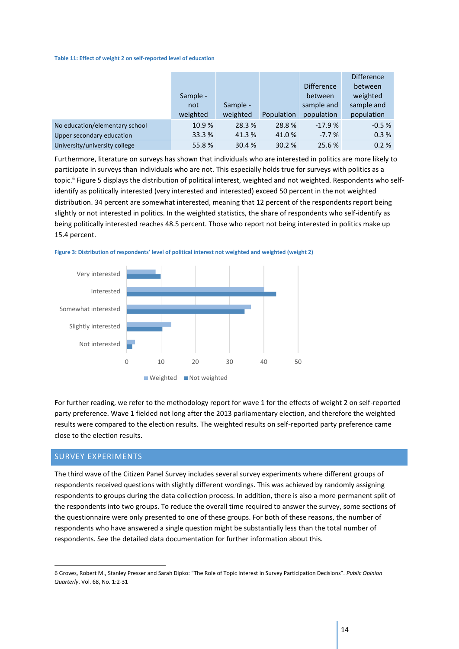#### **Table 11: Effect of weight 2 on self-reported level of education**

|                                |          |          |            |                   | <b>Difference</b> |
|--------------------------------|----------|----------|------------|-------------------|-------------------|
|                                |          |          |            | <b>Difference</b> | between           |
|                                | Sample - |          |            | between           | weighted          |
|                                | not      | Sample - |            | sample and        | sample and        |
|                                | weighted | weighted | Population | population        | population        |
| No education/elementary school | 10.9%    | 28.3 %   | 28.8%      | $-17.9%$          | $-0.5%$           |
| Upper secondary education      | 33.3 %   | 41.3%    | 41.0%      | $-7.7%$           | 0.3%              |
| University/university college  | 55.8%    | 30.4 %   | 30.2%      | 25.6 %            | 0.2%              |

Furthermore, literature on surveys has shown that individuals who are interested in politics are more likely to participate in surveys than individuals who are not. This especially holds true for surveys with politics as a topic.<sup>6</sup> Figure 5 displays the distribution of political interest, weighted and not weighted. Respondents who selfidentify as politically interested (very interested and interested) exceed 50 percent in the not weighted distribution. 34 percent are somewhat interested, meaning that 12 percent of the respondents report being slightly or not interested in politics. In the weighted statistics, the share of respondents who self-identify as being politically interested reaches 48.5 percent. Those who report not being interested in politics make up 15.4 percent.





For further reading, we refer to the methodology report for wave 1 for the effects of weight 2 on self-reported party preference. Wave 1 fielded not long after the 2013 parliamentary election, and therefore the weighted results were compared to the election results. The weighted results on self-reported party preference came close to the election results.

# <span id="page-14-0"></span>SURVEY EXPERIMENTS

1

The third wave of the Citizen Panel Survey includes several survey experiments where different groups of respondents received questions with slightly different wordings. This was achieved by randomly assigning respondents to groups during the data collection process. In addition, there is also a more permanent split of the respondents into two groups. To reduce the overall time required to answer the survey, some sections of the questionnaire were only presented to one of these groups. For both of these reasons, the number of respondents who have answered a single question might be substantially less than the total number of respondents. See the detailed data documentation for further information about this.

<sup>6</sup> Groves, Robert M., Stanley Presser and Sarah Dipko: "The Role of Topic Interest in Survey Participation Decisions". *Public Opinion Quarterly*. Vol. 68, No. 1:2-31